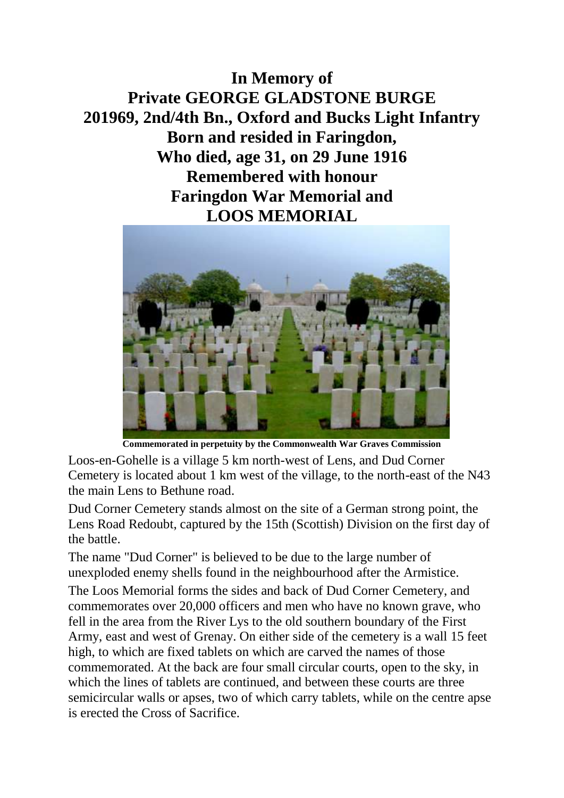**In Memory of Private GEORGE GLADSTONE BURGE 201969, 2nd/4th Bn., Oxford and Bucks Light Infantry Born and resided in Faringdon, Who died, age 31, on 29 June 1916 Remembered with honour Faringdon War Memorial and LOOS MEMORIAL**



**Commemorated in perpetuity by the Commonwealth War Graves Commission** 

Loos-en-Gohelle is a village 5 km north-west of Lens, and Dud Corner Cemetery is located about 1 km west of the village, to the north-east of the N43 the main Lens to Bethune road.

Dud Corner Cemetery stands almost on the site of a German strong point, the Lens Road Redoubt, captured by the 15th (Scottish) Division on the first day of the battle.

The name "Dud Corner" is believed to be due to the large number of unexploded enemy shells found in the neighbourhood after the Armistice. The Loos Memorial forms the sides and back of Dud Corner Cemetery, and commemorates over 20,000 officers and men who have no known grave, who fell in the area from the River Lys to the old southern boundary of the First Army, east and west of Grenay. On either side of the cemetery is a wall 15 feet high, to which are fixed tablets on which are carved the names of those commemorated. At the back are four small circular courts, open to the sky, in which the lines of tablets are continued, and between these courts are three semicircular walls or apses, two of which carry tablets, while on the centre apse is erected the Cross of Sacrifice.